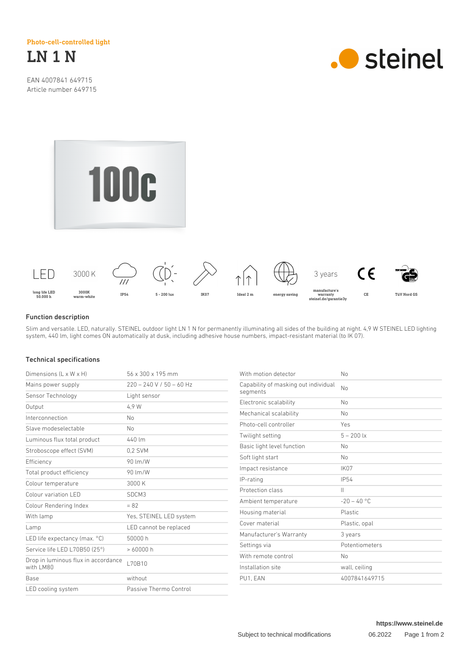Photo-cell-controlled light



EAN 4007841 649715 Article number 649715







## Function description

Slim and versatile. LED, naturally. STEINEL outdoor light LN 1 N for permanently illuminating all sides of the building at night. 4,9 W STEINEL LED lighting system, 440 lm, light comes ON automatically at dusk, including adhesive house numbers, impact-resistant material (to IK 07).

## Technical specifications

| Dimensions $(L \times W \times H)$               | 56 x 300 x 195 mm          | With motion detector                             | No             |
|--------------------------------------------------|----------------------------|--------------------------------------------------|----------------|
| Mains power supply                               | $220 - 240$ V / 50 - 60 Hz | Capability of masking out individual<br>segments | <b>No</b>      |
| Sensor Technology                                | Light sensor               |                                                  |                |
| Output                                           | 4.9 W                      | Electronic scalability                           | No             |
| Interconnection                                  | N <sub>o</sub>             | Mechanical scalability                           | No             |
| Slave modeselectable                             | <b>No</b>                  | Photo-cell controller                            | Yes            |
| Luminous flux total product                      | 440 lm                     | Twilight setting                                 | $5 - 200$ lx   |
| Stroboscope effect (SVM)                         | 0,2 SVM                    | Basic light level function                       | No             |
| Efficiency                                       | 90 lm/W                    | Soft light start                                 | No             |
| Total product efficiency                         | 90 lm/W                    | Impact resistance                                | <b>IK07</b>    |
| Colour temperature                               | 3000K                      | IP-rating                                        | <b>IP54</b>    |
| Colour variation LED                             | SDCM3                      | Protection class                                 | $\mathbf{  }$  |
| Colour Rendering Index                           | $= 82$                     | Ambient temperature                              | $-20 - 40$ °C  |
| With lamp                                        | Yes, STEINEL LED system    | Housing material                                 | Plastic        |
|                                                  | LED cannot be replaced     | Cover material                                   | Plastic, opal  |
| Lamp                                             | 50000 h                    | Manufacturer's Warranty                          | 3 years        |
| LED life expectancy (max. °C)                    |                            | Settings via                                     | Potentiometers |
| Service life LED L70B50 (25°)                    | >60000h<br>L70B10          | With remote control                              | No             |
| Drop in luminous flux in accordance<br>with LM80 |                            | Installation site                                | wall, ceiling  |
| Base                                             | without                    | PU1, EAN                                         | 4007841649715  |
| LED cooling system                               | Passive Thermo Control     |                                                  |                |